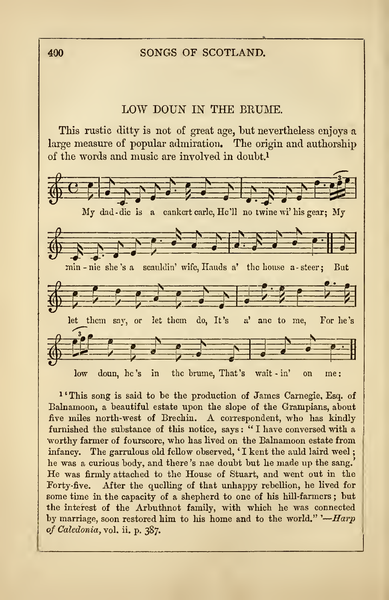## 400 SONGS OF SCOTLAND.

## LOW DOUN IN THE BEUME.

This rustic ditty is not of great age, but nevertheless enjoys a large measure of popular admiration. The origin and authorship



<sup>1</sup> 'This song is said to be the production of James Carnegie, Esq. of Balnamoon, a beautiful estate upon the slope of the Grampians, about five miles north-west of Brechin. A correspondent, who has kindly furnished the substance of this notice, says : " <sup>I</sup> have conversed with a worthy farmer of fourscore, who has lived on the Balnamoon estate from infancy. The garrulous old fellow observed, 'I kent the auld laird weel; he was a curious body, and there 's nae doubt but he made up the sang. He was firmly attached to the House of Stuart, and went out in the Forty-five. After the quelling of that unhappy rebellion, he lived for some time in the capacity of a shepherd to one of his hill-farmers; but the interest of the Arbuthnot family, with which he was connected by marriage, soon restored him to his home and to the world."  $-Harp$ of Caledonia, vol. ii. p. 387.